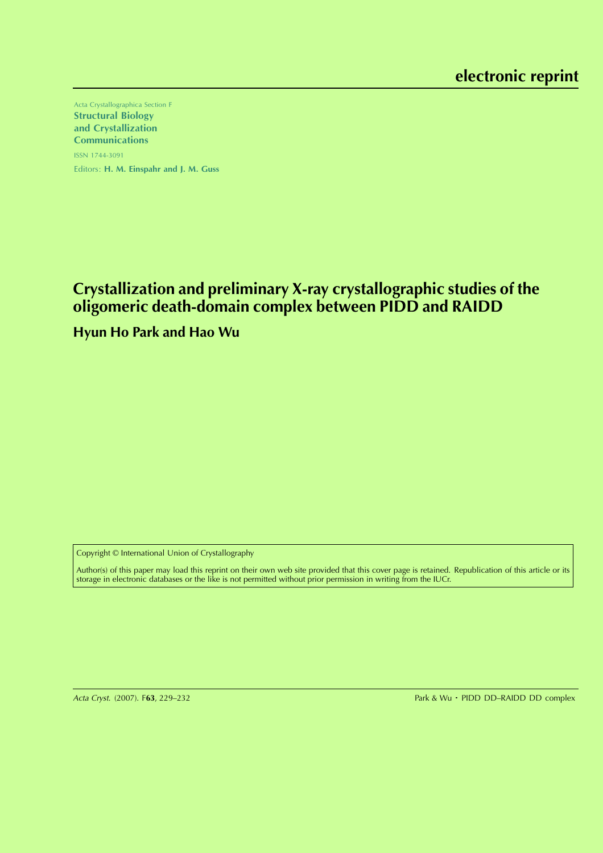Acta Crystallographica Section F Structural Biology and Crystallization Communications ISSN 1744-3091 Editors: H. M. Einspahr and J. M. Guss

# **Crystallization and preliminary X-ray crystallographic studies of the oligomeric death-domain complex between PIDD and RAIDD**

## **Hyun Ho Park and Hao Wu**

Copyright © International Union of Crystallography

Author(s) of this paper may load this reprint on their own web site provided that this cover page is retained. Republication of this article or its storage in electronic databases or the like is not permitted without prior permission in writing from the IUCr.

Acta Cryst. (2007). F63, 229-232

Park & Wu · PIDD DD-RAIDD DD complex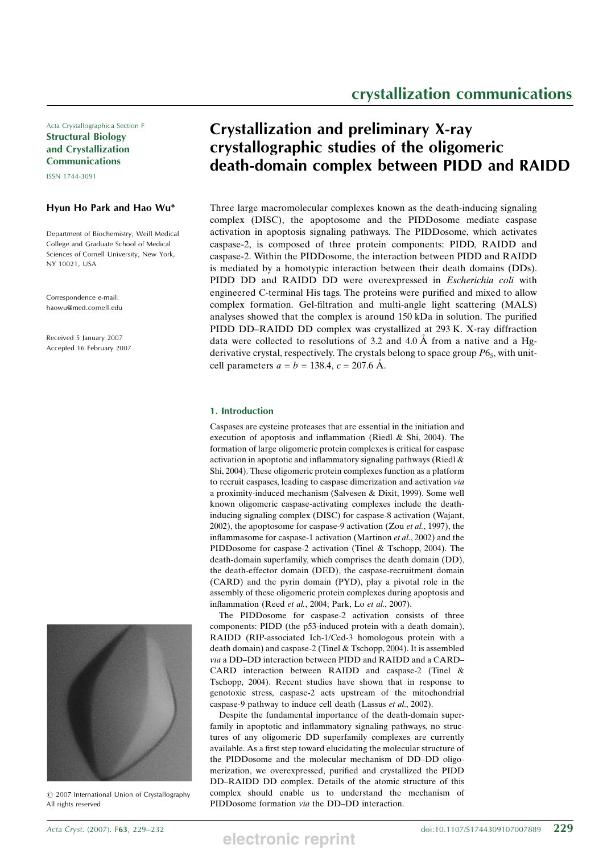Acta Crystallographica Section F Structural Biology and Crystallization Communications

ISSN 1744-3091

## Hyun Ho Park and Hao Wu\*

Department of Biochemistry, Weill Medical College and Graduate School of Medical Sciences of Cornell University, New York, NY 10021, USA

Correspondence e-mail: haowu@med.cornell.edu

Received 5 January 2007 Accepted 16 February 2007



 $\circ$  2007 International Union of Crystallography All rights reserved

# Crystallization and preliminary X-ray crystallographic studies of the oligomeric death-domain complex between PIDD and RAIDD

Three large macromolecular complexes known as the death-inducing signaling complex (DISC), the apoptosome and the PIDDosome mediate caspase activation in apoptosis signaling pathways. The PIDDosome, which activates caspase-2, is composed of three protein components: PIDD, RAIDD and caspase-2. Within the PIDDosome, the interaction between PIDD and RAIDD is mediated by a homotypic interaction between their death domains (DDs). PIDD DD and RAIDD DD were overexpressed in Escherichia coli with engineered C-terminal His tags. The proteins were purified and mixed to allow complex formation. Gel-filtration and multi-angle light scattering (MALS) analyses showed that the complex is around 150 kDa in solution. The purified PIDD DD–RAIDD DD complex was crystallized at 293 K. X-ray diffraction data were collected to resolutions of 3.2 and 4.0  $\AA$  from a native and a Hgderivative crystal, respectively. The crystals belong to space group  $P6_5$ , with unitcell parameters  $a = b = 138.4$ ,  $c = 207.6$  Å.

## 1. Introduction

Caspases are cysteine proteases that are essential in the initiation and execution of apoptosis and inflammation (Riedl & Shi, 2004). The formation of large oligomeric protein complexes is critical for caspase activation in apoptotic and inflammatory signaling pathways (Riedl & Shi, 2004). These oligomeric protein complexes function as a platform to recruit caspases, leading to caspase dimerization and activation via a proximity-induced mechanism (Salvesen & Dixit, 1999). Some well known oligomeric caspase-activating complexes include the deathinducing signaling complex (DISC) for caspase-8 activation (Wajant, 2002), the apoptosome for caspase-9 activation (Zou et al., 1997), the inflammasome for caspase-1 activation (Martinon et al., 2002) and the PIDDosome for caspase-2 activation (Tinel & Tschopp, 2004). The death-domain superfamily, which comprises the death domain (DD), the death-effector domain (DED), the caspase-recruitment domain (CARD) and the pyrin domain (PYD), play a pivotal role in the assembly of these oligomeric protein complexes during apoptosis and inflammation (Reed et al., 2004; Park, Lo et al., 2007).

The PIDDosome for caspase-2 activation consists of three components: PIDD (the p53-induced protein with a death domain), RAIDD (RIP-associated Ich-1/Ced-3 homologous protein with a death domain) and caspase-2 (Tinel & Tschopp, 2004). It is assembled via a DD–DD interaction between PIDD and RAIDD and a CARD– CARD interaction between RAIDD and caspase-2 (Tinel & Tschopp, 2004). Recent studies have shown that in response to genotoxic stress, caspase-2 acts upstream of the mitochondrial caspase-9 pathway to induce cell death (Lassus et al., 2002).

Despite the fundamental importance of the death-domain superfamily in apoptotic and inflammatory signaling pathways, no structures of any oligomeric DD superfamily complexes are currently available. As a first step toward elucidating the molecular structure of the PIDDosome and the molecular mechanism of DD–DD oligomerization, we overexpressed, purified and crystallized the PIDD DD–RAIDD DD complex. Details of the atomic structure of this complex should enable us to understand the mechanism of PIDDosome formation via the DD–DD interaction.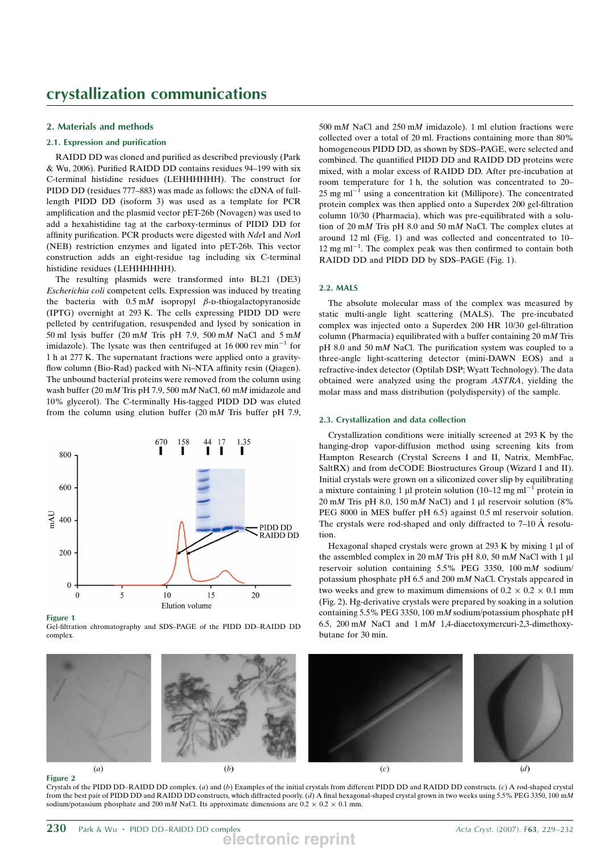## 2. Materials and methods

## 2.1. Expression and purification

RAIDD DD was cloned and purified as described previously (Park & Wu, 2006). Purified RAIDD DD contains residues 94–199 with six C-terminal histidine residues (LEHHHHHH). The construct for PIDD DD (residues 777–883) was made as follows: the cDNA of fulllength PIDD DD (isoform 3) was used as a template for PCR amplification and the plasmid vector pET-26b (Novagen) was used to add a hexahistidine tag at the carboxy-terminus of PIDD DD for affinity purification. PCR products were digested with NdeI and NotI (NEB) restriction enzymes and ligated into pET-26b. This vector construction adds an eight-residue tag including six C-terminal histidine residues (LEHHHHHH).

The resulting plasmids were transformed into BL21 (DE3) Escherichia coli competent cells. Expression was induced by treating the bacteria with  $0.5 \text{ m}$  isopropyl  $\beta$ -D-thiogalactopyranoside (IPTG) overnight at 293 K. The cells expressing PIDD DD were pelleted by centrifugation, resuspended and lysed by sonication in 50 ml lysis buffer (20 mM Tris pH 7.9, 500 mM NaCl and 5 mM imidazole). The lysate was then centrifuged at 16 000 rev  $min^{-1}$  for 1 h at 277 K. The supernatant fractions were applied onto a gravityflow column (Bio-Rad) packed with Ni–NTA affinity resin (Qiagen). The unbound bacterial proteins were removed from the column using wash buffer (20 mM Tris pH 7.9, 500 mM NaCl, 60 mM imidazole and 10% glycerol). The C-terminally His-tagged PIDD DD was eluted from the column using elution buffer (20 mM Tris buffer pH 7.9,



Figure 1

Gel-filtration chromatography and SDS–PAGE of the PIDD DD–RAIDD DD complex.

500 mM NaCl and 250 mM imidazole). 1 ml elution fractions were collected over a total of 20 ml. Fractions containing more than 80% homogeneous PIDD DD, as shown by SDS–PAGE, were selected and combined. The quantified PIDD DD and RAIDD DD proteins were mixed, with a molar excess of RAIDD DD. After pre-incubation at room temperature for 1 h, the solution was concentrated to 20– 25 mg ml $^{-1}$  using a concentration kit (Millipore). The concentrated protein complex was then applied onto a Superdex 200 gel-filtration column 10/30 (Pharmacia), which was pre-equilibrated with a solution of 20 mM Tris pH 8.0 and 50 mM NaCl. The complex elutes at around 12 ml (Fig. 1) and was collected and concentrated to 10–  $12 \text{ mg ml}^{-1}$ . The complex peak was then confirmed to contain both RAIDD DD and PIDD DD by SDS–PAGE (Fig. 1).

## 2.2. MALS

The absolute molecular mass of the complex was measured by static multi-angle light scattering (MALS). The pre-incubated complex was injected onto a Superdex 200 HR 10/30 gel-filtration column (Pharmacia) equilibrated with a buffer containing  $20 \text{ m}M$  Tris pH 8.0 and 50 mM NaCl. The purification system was coupled to a three-angle light-scattering detector (mini-DAWN EOS) and a refractive-index detector (Optilab DSP; Wyatt Technology). The data obtained were analyzed using the program ASTRA, yielding the molar mass and mass distribution (polydispersity) of the sample.

#### 2.3. Crystallization and data collection

Crystallization conditions were initially screened at 293 K by the hanging-drop vapor-diffusion method using screening kits from Hampton Research (Crystal Screens I and II, Natrix, MembFac, SaltRX) and from deCODE Biostructures Group (Wizard I and II). Initial crystals were grown on a siliconized cover slip by equilibrating a mixture containing 1 µl protein solution (10–12 mg ml<sup>-1</sup> protein in  $20 \text{ mM}$  Tris pH 8.0, 150 mM NaCl) and 1 µl reservoir solution (8% PEG 8000 in MES buffer pH 6.5) against 0.5 ml reservoir solution. The crystals were rod-shaped and only diffracted to  $7-10$  Å resolution.

Hexagonal shaped crystals were grown at  $293 \text{ K}$  by mixing 1 µl of the assembled complex in 20 mM Tris pH 8.0, 50 mM NaCl with 1  $\mu$ l reservoir solution containing 5.5% PEG 3350, 100 mM sodium/ potassium phosphate pH 6.5 and 200 mM NaCl. Crystals appeared in two weeks and grew to maximum dimensions of  $0.2 \times 0.2 \times 0.1$  mm (Fig. 2). Hg-derivative crystals were prepared by soaking in a solution containing 5.5% PEG 3350, 100 mM sodium/potassium phosphate pH 6.5, 200 mM NaCl and 1 mM 1,4-diacetoxymercuri-2,3-dimethoxybutane for 30 min.



Figure 2

Crystals of the PIDD DD–RAIDD DD complex. (a) and (b) Examples of the initial crystals from different PIDD DD and RAIDD DD constructs. (c) A rod-shaped crystal from the best pair of PIDD DD and RAIDD DD constructs, which diffracted poorly. (d) A final hexagonal-shaped crystal grown in two weeks using 5.5% PEG 3350, 100 mM sodium/potassium phosphate and 200 mM NaCl. Its approximate dimensions are  $0.2 \times 0.2 \times 0.1$  mm.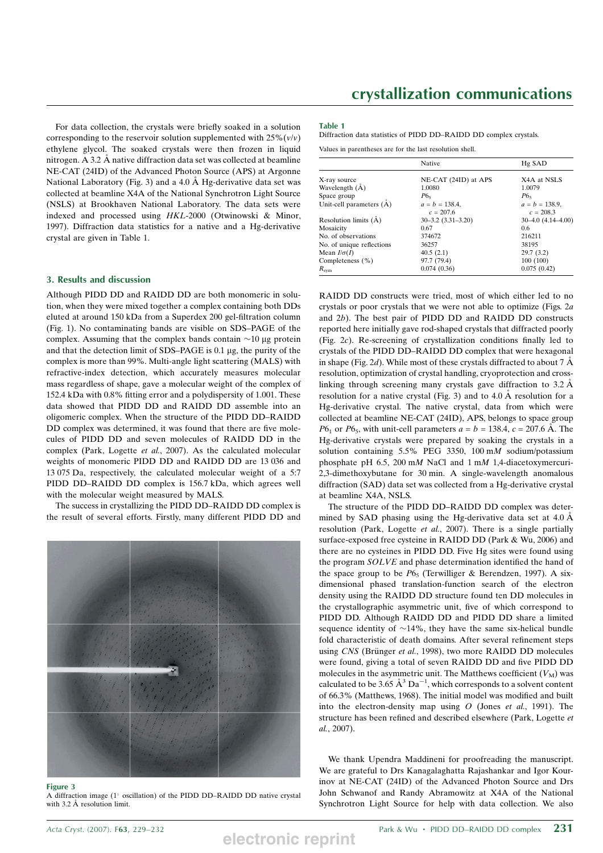For data collection, the crystals were briefly soaked in a solution corresponding to the reservoir solution supplemented with  $25\%$  ( $v/v$ ) ethylene glycol. The soaked crystals were then frozen in liquid nitrogen. A 3.2 Å native diffraction data set was collected at beamline NE-CAT (24ID) of the Advanced Photon Source (APS) at Argonne National Laboratory (Fig. 3) and a 4.0  $\AA$  Hg-derivative data set was collected at beamline X4A of the National Synchrotron Light Source (NSLS) at Brookhaven National Laboratory. The data sets were indexed and processed using HKL-2000 (Otwinowski & Minor, 1997). Diffraction data statistics for a native and a Hg-derivative crystal are given in Table 1.

### 3. Results and discussion

Although PIDD DD and RAIDD DD are both monomeric in solution, when they were mixed together a complex containing both DDs eluted at around 150 kDa from a Superdex 200 gel-filtration column (Fig. 1). No contaminating bands are visible on SDS–PAGE of the complex. Assuming that the complex bands contain  $\sim$ 10 µg protein and that the detection limit of SDS–PAGE is  $0.1 \mu$ g, the purity of the complex is more than 99%. Multi-angle light scattering (MALS) with refractive-index detection, which accurately measures molecular mass regardless of shape, gave a molecular weight of the complex of 152.4 kDa with 0.8% fitting error and a polydispersity of 1.001. These data showed that PIDD DD and RAIDD DD assemble into an oligomeric complex. When the structure of the PIDD DD–RAIDD DD complex was determined, it was found that there are five molecules of PIDD DD and seven molecules of RAIDD DD in the complex (Park, Logette et al., 2007). As the calculated molecular weights of monomeric PIDD DD and RAIDD DD are 13 036 and 13 075 Da, respectively, the calculated molecular weight of a 5:7 PIDD DD–RAIDD DD complex is 156.7 kDa, which agrees well with the molecular weight measured by MALS.

The success in crystallizing the PIDD DD–RAIDD DD complex is the result of several efforts. Firstly, many different PIDD DD and



#### Figure 3

A diffraction image ( $1^\circ$  oscillation) of the PIDD DD–RAIDD DD native crystal with 3.2 Å resolution limit.

## crystallization communications

#### Table 1

Diffraction data statistics of PIDD DD–RAIDD DD complex crystals.

Values in parentheses are for the last resolution shell.

|                           | Native                           | Hg SAD                           |
|---------------------------|----------------------------------|----------------------------------|
| X-ray source              | NE-CAT (24ID) at APS             | X4A at NSLS                      |
| Wavelength $(A)$          | 1.0080                           | 1.0079                           |
| Space group               | $P6_5$                           | $P6_s$                           |
| Unit-cell parameters (A)  | $a = b = 138.4$ ,<br>$c = 207.6$ | $a = b = 138.9$ ,<br>$c = 208.3$ |
| Resolution limits $(A)$   | $30 - 3.2$ $(3.31 - 3.20)$       | $30-4.0$ $(4.14-4.00)$           |
| Mosaicity                 | 0.67                             | 0.6                              |
| No. of observations       | 374672                           | 216211                           |
| No. of unique reflections | 36257                            | 38195                            |
| Mean $I/\sigma(I)$        | 40.5(2.1)                        | 29.7(3.2)                        |
| Completeness (%)          | 97.7 (79.4)                      | 100(100)                         |
| $R_{sym}$                 | 0.074(0.36)                      | 0.075(0.42)                      |

RAIDD DD constructs were tried, most of which either led to no crystals or poor crystals that we were not able to optimize (Figs. 2a and 2b). The best pair of PIDD DD and RAIDD DD constructs reported here initially gave rod-shaped crystals that diffracted poorly (Fig. 2c). Re-screening of crystallization conditions finally led to crystals of the PIDD DD–RAIDD DD complex that were hexagonal in shape (Fig. 2d). While most of these crystals diffracted to about 7  $\AA$ resolution, optimization of crystal handling, cryoprotection and crosslinking through screening many crystals gave diffraction to  $3.2 \text{ Å}$ resolution for a native crystal (Fig. 3) and to  $4.0 \text{ Å}$  resolution for a Hg-derivative crystal. The native crystal, data from which were collected at beamline NE-CAT (24ID), APS, belongs to space group  $P6<sub>1</sub>$  or  $P6<sub>5</sub>$ , with unit-cell parameters  $a = b = 138.4$ ,  $c = 207.6$  Å. The Hg-derivative crystals were prepared by soaking the crystals in a solution containing 5.5% PEG 3350, 100 mM sodium/potassium phosphate pH 6.5, 200 mM NaCl and 1 mM 1,4-diacetoxymercuri-2,3-dimethoxybutane for 30 min. A single-wavelength anomalous diffraction (SAD) data set was collected from a Hg-derivative crystal at beamline X4A, NSLS.

The structure of the PIDD DD–RAIDD DD complex was determined by SAD phasing using the Hg-derivative data set at  $4.0 \text{ Å}$ resolution (Park, Logette *et al.*, 2007). There is a single partially surface-exposed free cysteine in RAIDD DD (Park & Wu, 2006) and there are no cysteines in PIDD DD. Five Hg sites were found using the program SOLVE and phase determination identified the hand of the space group to be  $P6<sub>5</sub>$  (Terwilliger & Berendzen, 1997). A sixdimensional phased translation-function search of the electron density using the RAIDD DD structure found ten DD molecules in the crystallographic asymmetric unit, five of which correspond to PIDD DD. Although RAIDD DD and PIDD DD share a limited sequence identity of  $\sim$ 14%, they have the same six-helical bundle fold characteristic of death domains. After several refinement steps using CNS (Brünger et al., 1998), two more RAIDD DD molecules were found, giving a total of seven RAIDD DD and five PIDD DD molecules in the asymmetric unit. The Matthews coefficient  $(V_M)$  was calculated to be 3.65  $\AA^3$  Da<sup>-1</sup>, which corresponds to a solvent content of 66.3% (Matthews, 1968). The initial model was modified and built into the electron-density map using  $O$  (Jones et al., 1991). The structure has been refined and described elsewhere (Park, Logette et al., 2007).

We thank Upendra Maddineni for proofreading the manuscript. We are grateful to Drs Kanagalaghatta Rajashankar and Igor Kourinov at NE-CAT (24ID) of the Advanced Photon Source and Drs John Schwanof and Randy Abramowitz at X4A of the National Synchrotron Light Source for help with data collection. We also